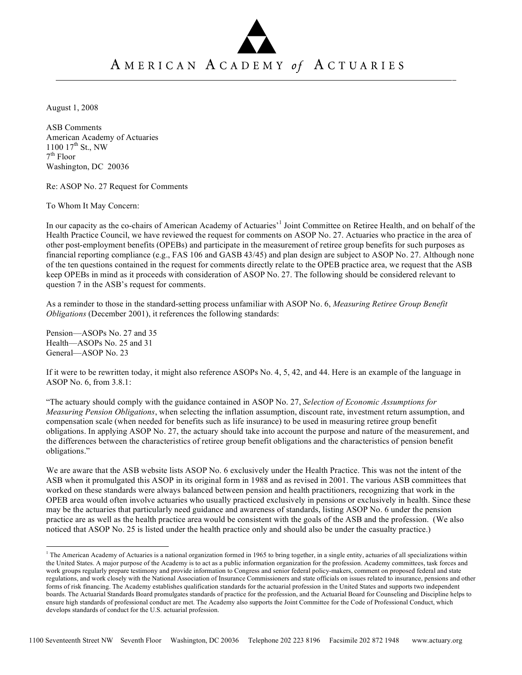## AMERICAN ACADEMY of ACTUARIES

August 1, 2008

ASB Comments American Academy of Actuaries  $1100 \frac{17^{\text{th}}}{\text{St.}}$  NW  $7<sup>th</sup>$  Floor Washington, DC 20036

Re: ASOP No. 27 Request for Comments

To Whom It May Concern:

In our capacity as the co-chairs of American Academy of Actuaries<sup>,1</sup> Joint Committee on Retiree Health, and on behalf of the Health Practice Council, we have reviewed the request for comments on ASOP No. 27. Actuaries who practice in the area of other post-employment benefits (OPEBs) and participate in the measurement of retiree group benefits for such purposes as financial reporting compliance (e.g., FAS 106 and GASB 43/45) and plan design are subject to ASOP No. 27. Although none of the ten questions contained in the request for comments directly relate to the OPEB practice area, we request that the ASB keep OPEBs in mind as it proceeds with consideration of ASOP No. 27. The following should be considered relevant to question 7 in the ASB's request for comments.

As a reminder to those in the standard-setting process unfamiliar with ASOP No. 6, *Measuring Retiree Group Benefit Obligations* (December 2001), it references the following standards:

Pension—ASOPs No. 27 and 35 Health—ASOPs No. 25 and 31 General—ASOP No. 23

If it were to be rewritten today, it might also reference ASOPs No. 4, 5, 42, and 44. Here is an example of the language in ASOP No. 6, from 3.8.1:

"The actuary should comply with the guidance contained in ASOP No. 27, *Selection of Economic Assumptions for Measuring Pension Obligations*, when selecting the inflation assumption, discount rate, investment return assumption, and compensation scale (when needed for benefits such as life insurance) to be used in measuring retiree group benefit obligations. In applying ASOP No. 27, the actuary should take into account the purpose and nature of the measurement, and the differences between the characteristics of retiree group benefit obligations and the characteristics of pension benefit obligations."

We are aware that the ASB website lists ASOP No. 6 exclusively under the Health Practice. This was not the intent of the ASB when it promulgated this ASOP in its original form in 1988 and as revised in 2001. The various ASB committees that worked on these standards were always balanced between pension and health practitioners, recognizing that work in the OPEB area would often involve actuaries who usually practiced exclusively in pensions or exclusively in health. Since these may be the actuaries that particularly need guidance and awareness of standards, listing ASOP No. 6 under the pension practice are as well as the health practice area would be consistent with the goals of the ASB and the profession. (We also noticed that ASOP No. 25 is listed under the health practice only and should also be under the casualty practice.)

<sup>&</sup>lt;sup>1</sup> The American Academy of Actuaries is a national organization formed in 1965 to bring together, in a single entity, actuaries of all specializations within the United States. A major purpose of the Academy is to act as a public information organization for the profession. Academy committees, task forces and work groups regularly prepare testimony and provide information to Congress and senior federal policy-makers, comment on proposed federal and state regulations, and work closely with the National Association of Insurance Commissioners and state officials on issues related to insurance, pensions and other forms of risk financing. The Academy establishes qualification standards for the actuarial profession in the United States and supports two independent boards. The Actuarial Standards Board promulgates standards of practice for the profession, and the Actuarial Board for Counseling and Discipline helps to ensure high standards of professional conduct are met. The Academy also supports the Joint Committee for the Code of Professional Conduct, which develops standards of conduct for the U.S. actuarial profession.